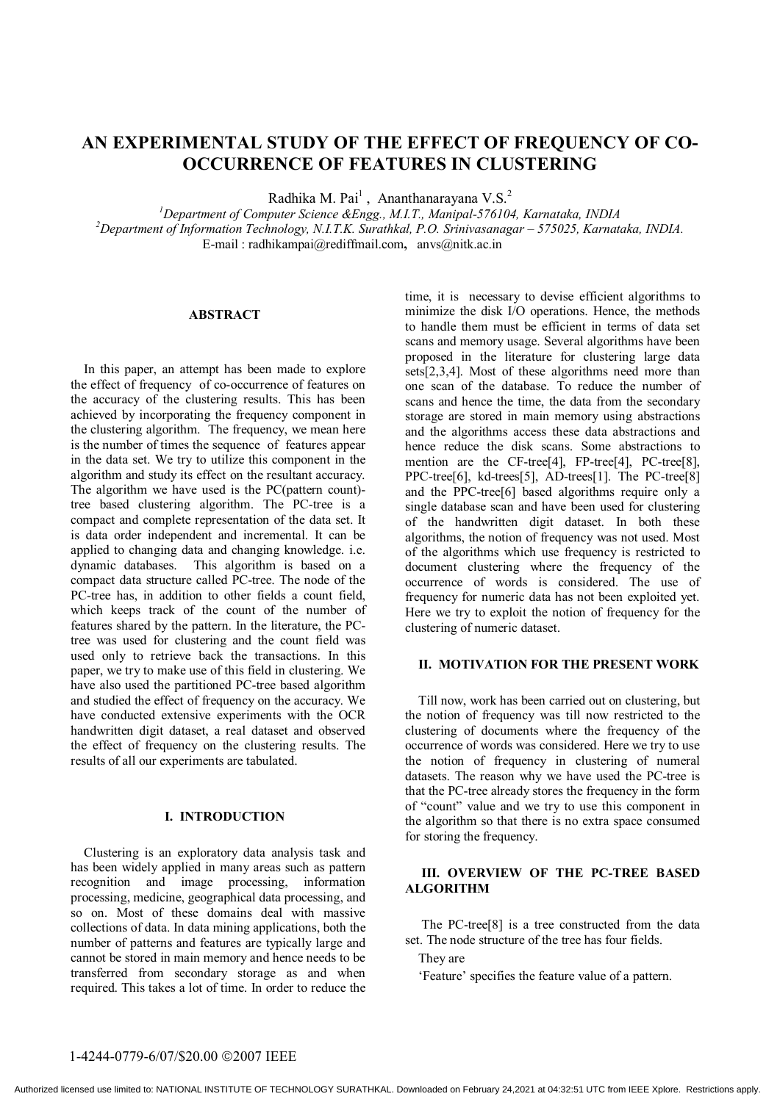# **AN EXPERIMENTAL STUDY OF THE EFFECT OF FREQUENCY OF CO-OCCURRENCE OF FEATURES IN CLUSTERING**

Radhika M. Pai<sup>1</sup>, Ananthanarayana V.S.<sup>2</sup>

<sup>1</sup><br>
<sup>1</sup> Department of Computer Science &Engg., M.I.T., Manipal-576104, Karnataka, INDIA<br>
<sup>2</sup> Department of Information Tachnology, N.J.T.K. Synathkal, B.O. Synnyssanaggy, 575025, Kamata *Department of Information Technology, N.I.T.K. Surathkal, P.O. Srinivasanagar – 575025, Karnataka, INDIA.*  E-mail : radhikampai@rediffmail.com**,** anvs@nitk.ac.in

#### **ABSTRACT**

In this paper, an attempt has been made to explore the effect of frequency of co-occurrence of features on the accuracy of the clustering results. This has been achieved by incorporating the frequency component in the clustering algorithm. The frequency, we mean here is the number of times the sequence of features appear in the data set. We try to utilize this component in the algorithm and study its effect on the resultant accuracy. The algorithm we have used is the PC(pattern count) tree based clustering algorithm. The PC-tree is a compact and complete representation of the data set. It is data order independent and incremental. It can be applied to changing data and changing knowledge. i.e. dynamic databases. This algorithm is based on a compact data structure called PC-tree. The node of the PC-tree has, in addition to other fields a count field, which keeps track of the count of the number of features shared by the pattern. In the literature, the PCtree was used for clustering and the count field was used only to retrieve back the transactions. In this paper, we try to make use of this field in clustering. We have also used the partitioned PC-tree based algorithm and studied the effect of frequency on the accuracy. We have conducted extensive experiments with the OCR handwritten digit dataset, a real dataset and observed the effect of frequency on the clustering results. The results of all our experiments are tabulated.

### **I. INTRODUCTION**

Clustering is an exploratory data analysis task and has been widely applied in many areas such as pattern recognition and image processing, information processing, medicine, geographical data processing, and so on. Most of these domains deal with massive collections of data. In data mining applications, both the number of patterns and features are typically large and cannot be stored in main memory and hence needs to be transferred from secondary storage as and when required. This takes a lot of time. In order to reduce the time, it is necessary to devise efficient algorithms to minimize the disk I/O operations. Hence, the methods to handle them must be efficient in terms of data set scans and memory usage. Several algorithms have been proposed in the literature for clustering large data sets[2,3,4]. Most of these algorithms need more than one scan of the database. To reduce the number of scans and hence the time, the data from the secondary storage are stored in main memory using abstractions and the algorithms access these data abstractions and hence reduce the disk scans. Some abstractions to mention are the CF-tree<sup>[4]</sup>, FP-tree<sup>[4]</sup>, PC-tree<sup>[8]</sup>, PPC-tree<sup>[6]</sup>, kd-trees<sup>[5]</sup>, AD-trees<sup>[1]</sup>. The PC-tree<sup>[8]</sup> and the PPC-tree[6] based algorithms require only a single database scan and have been used for clustering of the handwritten digit dataset. In both these algorithms, the notion of frequency was not used. Most of the algorithms which use frequency is restricted to document clustering where the frequency of the occurrence of words is considered. The use of frequency for numeric data has not been exploited yet. Here we try to exploit the notion of frequency for the clustering of numeric dataset.

### **II. MOTIVATION FOR THE PRESENT WORK**

Till now, work has been carried out on clustering, but the notion of frequency was till now restricted to the clustering of documents where the frequency of the occurrence of words was considered. Here we try to use the notion of frequency in clustering of numeral datasets. The reason why we have used the PC-tree is that the PC-tree already stores the frequency in the form of "count" value and we try to use this component in the algorithm so that there is no extra space consumed for storing the frequency.

## **III. OVERVIEW OF THE PC-TREE BASED ALGORITHM**

 The PC-tree[8] is a tree constructed from the data set. The node structure of the tree has four fields.

They are

'Feature' specifies the feature value of a pattern.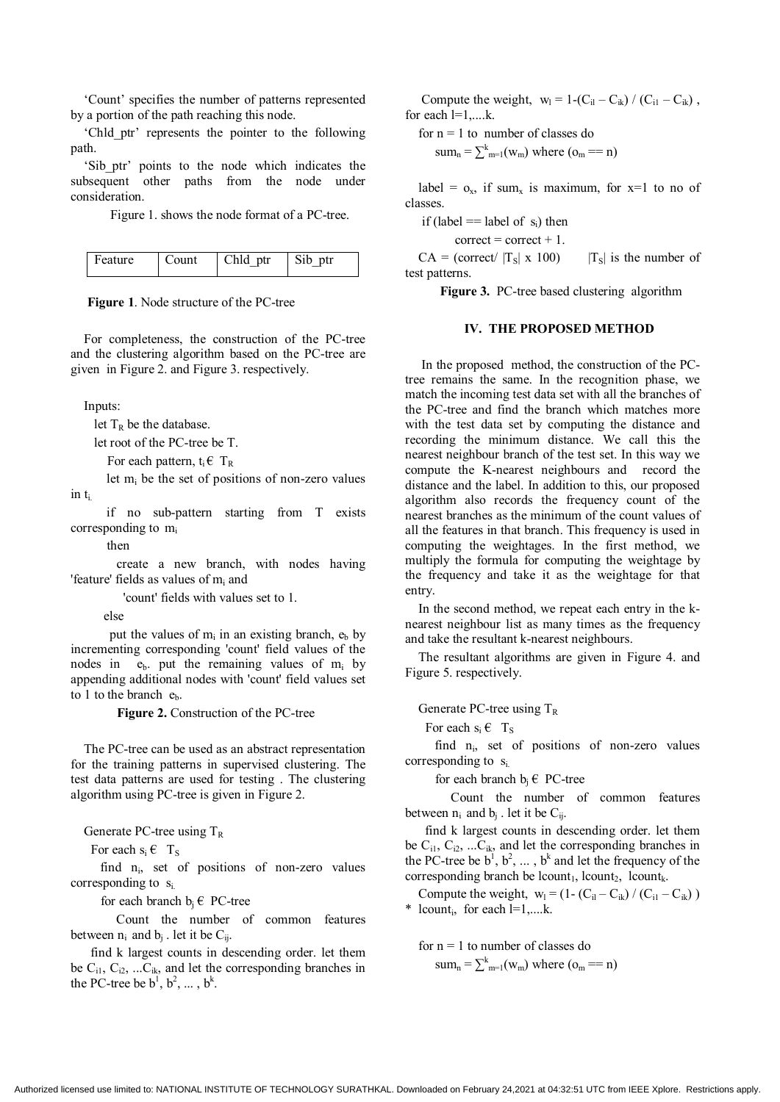'Count' specifies the number of patterns represented by a portion of the path reaching this node.

'Chld\_ptr' represents the pointer to the following path.

'Sib\_ptr' points to the node which indicates the subsequent other paths from the node under consideration.

Figure 1. shows the node format of a PC-tree.

| Feature<br>$\mathbf{I}$ | Count | Chld ptr | Sib ptr |
|-------------------------|-------|----------|---------|

 **Figure 1**. Node structure of the PC-tree

For completeness, the construction of the PC-tree and the clustering algorithm based on the PC-tree are given in Figure 2. and Figure 3. respectively.

Inputs:

let  $T_R$  be the database.

let root of the PC-tree be T.

For each pattern,  $t_i \in T_R$ 

let  $m_i$  be the set of positions of non-zero values in ti.

 if no sub-pattern starting from T exists corresponding to  $m_i$ 

then

 create a new branch, with nodes having 'feature' fields as values of m<sub>i</sub> and

'count' fields with values set to 1.

else

put the values of  $m_i$  in an existing branch,  $e_b$  by incrementing corresponding 'count' field values of the nodes in  $e_b$ , put the remaining values of m<sub>i</sub> by appending additional nodes with 'count' field values set to 1 to the branch  $e_h$ .

**Figure 2.** Construction of the PC-tree

The PC-tree can be used as an abstract representation for the training patterns in supervised clustering. The test data patterns are used for testing . The clustering algorithm using PC-tree is given in Figure 2.

Generate PC-tree using  $T_R$ 

For each  $s_i \in T_S$ 

find  $n_i$ , set of positions of non-zero values corresponding to s<sub>i</sub>

for each branch  $b_i \in PC$ -tree

 Count the number of common features between  $n_i$  and  $b_i$ . let it be  $C_{ii}$ .

 find k largest counts in descending order. let them be  $C_{i1}$ ,  $C_{i2}$ , ... $C_{ik}$ , and let the corresponding branches in the PC-tree be  $b^1$ ,  $b^2$ , ...,  $b^k$ .

Compute the weight,  $w_l = 1 - (C_{il} - C_{ik}) / (C_{i1} - C_{ik})$ , for each  $l=1,...k$ .

for  $n = 1$  to number of classes do

sum<sub>n</sub> =  $\sum_{m=1}^{k} (w_m)$  where  $(o_m == n)$ 

label =  $o_x$ , if sum<sub>x</sub> is maximum, for x=1 to no of classes.

if (label  $==$  label of s<sub>i</sub>) then

 $correct = correct + 1$ .

 $CA = (correct / |T_s| \times 100)$  |T<sub>s</sub>| is the number of test patterns.

**Figure 3.** PC-tree based clustering algorithm

### **IV. THE PROPOSED METHOD**

 In the proposed method, the construction of the PCtree remains the same. In the recognition phase, we match the incoming test data set with all the branches of the PC-tree and find the branch which matches more with the test data set by computing the distance and recording the minimum distance. We call this the nearest neighbour branch of the test set. In this way we compute the K-nearest neighbours and record the distance and the label. In addition to this, our proposed algorithm also records the frequency count of the nearest branches as the minimum of the count values of all the features in that branch. This frequency is used in computing the weightages. In the first method, we multiply the formula for computing the weightage by the frequency and take it as the weightage for that entry.

In the second method, we repeat each entry in the knearest neighbour list as many times as the frequency and take the resultant k-nearest neighbours.

The resultant algorithms are given in Figure 4. and Figure 5. respectively.

Generate PC-tree using  $T_R$ 

For each  $s_i \in T_S$ 

find  $n_i$ , set of positions of non-zero values corresponding to s<sub>i.</sub>

for each branch  $b_i \in PC$ -tree

 Count the number of common features between  $n_i$  and  $b_i$ . let it be  $C_{ii}$ .

 find k largest counts in descending order. let them be  $C_{i1}$ ,  $C_{i2}$ , ... $C_{ik}$ , and let the corresponding branches in the PC-tree be  $b^1, b^2, \dots, b^k$  and let the frequency of the corresponding branch be lcount<sub>1</sub>, lcount<sub>2</sub>, lcount<sub>k</sub>.

Compute the weight,  $w_l = (1 - (C_{il} - C_{ik}) / (C_{il} - C_{ik}))$ \* lcount<sub>i</sub>, for each  $l=1,...k$ .

for  $n = 1$  to number of classes do sum<sub>n</sub> =  $\sum_{m=1}^{k} (w_m)$  where  $(o_m == n)$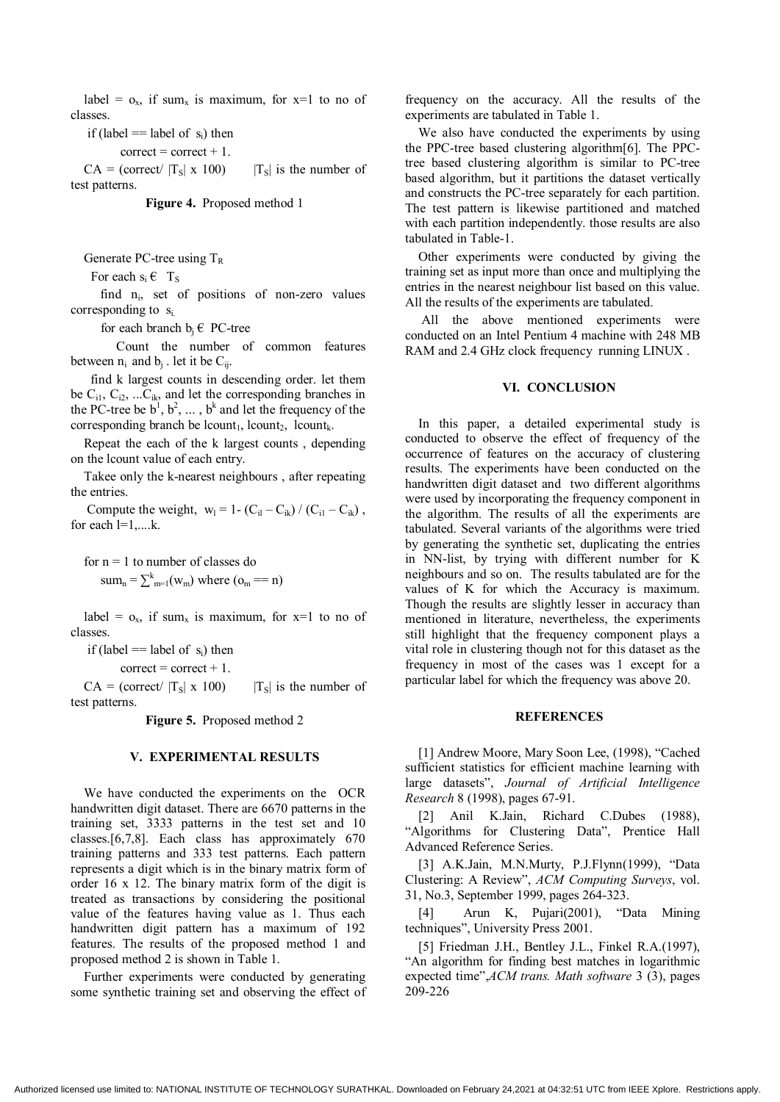label =  $o_x$ , if sum<sub>x</sub> is maximum, for x=1 to no of classes.

if (label  $==$  label of  $s_i$ ) then

 $correct = correct + 1.$ 

 $CA = (correct / |T_s| \times 100)$  |T<sub>s</sub>| is the number of test patterns.

**Figure 4.** Proposed method 1

Generate PC-tree using  $T_R$ 

For each  $s_i \in T_S$ 

find  $n_i$ , set of positions of non-zero values corresponding to s<sub>i</sub>

for each branch  $b_i \in PC$ -tree

 Count the number of common features between  $n_i$  and  $b_i$ . let it be  $C_{ij}$ .

 find k largest counts in descending order. let them be  $C_{i1}$ ,  $C_{i2}$ , ... $C_{ik}$ , and let the corresponding branches in the PC-tree be  $b^1, b^2, \dots, b^k$  and let the frequency of the corresponding branch be lcount<sub>1</sub>, lcount<sub>2</sub>, lcount<sub>k</sub>.

Repeat the each of the k largest counts , depending on the lcount value of each entry.

Takee only the k-nearest neighbours , after repeating the entries.

Compute the weight,  $w_1 = 1 - (C_{i1} - C_{ik}) / (C_{i1} - C_{ik})$ , for each  $l=1,...,k$ .

for  $n = 1$  to number of classes do sum<sub>n</sub> =  $\sum_{m=1}^{k} (w_m)$  where  $(o_m == n)$ 

label =  $o_x$ , if sum<sub>x</sub> is maximum, for x=1 to no of classes.

if (label  $==$  label of  $s_i$ ) then

 $correct = correct + 1$ .

 $CA = (correct / |T_s| \times 100)$  |T<sub>s</sub>| is the number of test patterns.

**Figure 5.** Proposed method 2

### **V. EXPERIMENTAL RESULTS**

We have conducted the experiments on the OCR handwritten digit dataset. There are 6670 patterns in the training set, 3333 patterns in the test set and 10 classes.[6,7,8]. Each class has approximately 670 training patterns and 333 test patterns. Each pattern represents a digit which is in the binary matrix form of order 16 x 12. The binary matrix form of the digit is treated as transactions by considering the positional value of the features having value as 1. Thus each handwritten digit pattern has a maximum of 192 features. The results of the proposed method 1 and proposed method 2 is shown in Table 1.

Further experiments were conducted by generating some synthetic training set and observing the effect of frequency on the accuracy. All the results of the experiments are tabulated in Table 1.

We also have conducted the experiments by using the PPC-tree based clustering algorithm[6]. The PPCtree based clustering algorithm is similar to PC-tree based algorithm, but it partitions the dataset vertically and constructs the PC-tree separately for each partition. The test pattern is likewise partitioned and matched with each partition independently. those results are also tabulated in Table-1.

Other experiments were conducted by giving the training set as input more than once and multiplying the entries in the nearest neighbour list based on this value. All the results of the experiments are tabulated.

 All the above mentioned experiments were conducted on an Intel Pentium 4 machine with 248 MB RAM and 2.4 GHz clock frequency running LINUX .

### **VI. CONCLUSION**

In this paper, a detailed experimental study is conducted to observe the effect of frequency of the occurrence of features on the accuracy of clustering results. The experiments have been conducted on the handwritten digit dataset and two different algorithms were used by incorporating the frequency component in the algorithm. The results of all the experiments are tabulated. Several variants of the algorithms were tried by generating the synthetic set, duplicating the entries in NN-list, by trying with different number for K neighbours and so on. The results tabulated are for the values of K for which the Accuracy is maximum. Though the results are slightly lesser in accuracy than mentioned in literature, nevertheless, the experiments still highlight that the frequency component plays a vital role in clustering though not for this dataset as the frequency in most of the cases was 1 except for a particular label for which the frequency was above 20.

### **REFERENCES**

[1] Andrew Moore, Mary Soon Lee, (1998), "Cached sufficient statistics for efficient machine learning with large datasets", *Journal of Artificial Intelligence Research* 8 (1998), pages 67-91.

[2] Anil K.Jain, Richard C.Dubes (1988), "Algorithms for Clustering Data", Prentice Hall Advanced Reference Series.

[3] A.K.Jain, M.N.Murty, P.J.Flynn(1999), "Data Clustering: A Review", *ACM Computing Surveys*, vol. 31, No.3, September 1999, pages 264-323.

[4] Arun K, Pujari(2001), "Data Mining techniques", University Press 2001.

[5] Friedman J.H., Bentley J.L., Finkel R.A.(1997), "An algorithm for finding best matches in logarithmic expected time",*ACM trans. Math software* 3 (3), pages 209-226